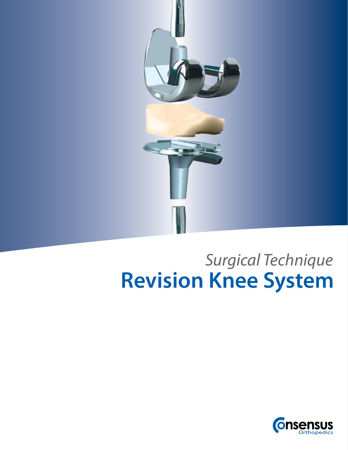

## **Revision Knee System** *Surgical Technique*

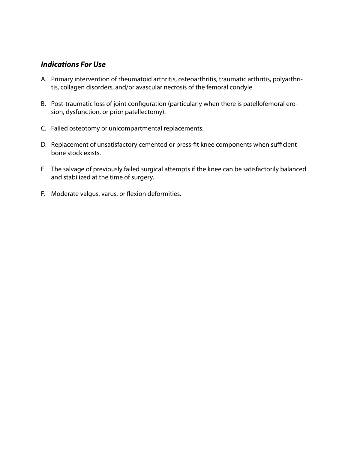#### *Indications For Use*

- A. Primary intervention of rheumatoid arthritis, osteoarthritis, traumatic arthritis, polyarthritis, collagen disorders, and/or avascular necrosis of the femoral condyle.
- B. Post-traumatic loss of joint configuration (particularly when there is patellofemoral erosion, dysfunction, or prior patellectomy).
- C. Failed osteotomy or unicompartmental replacements.
- D. Replacement of unsatisfactory cemented or press-fit knee components when sufficient bone stock exists.
- E. The salvage of previously failed surgical attempts if the knee can be satisfactorily balanced and stabilized at the time of surgery.
- F. Moderate valgus, varus, or flexion deformities.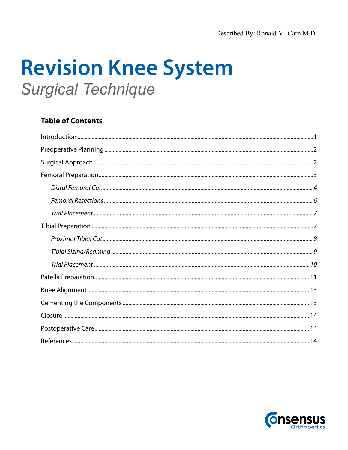# **Revision Knee System Surgical Technique**

### **Table of Contents**

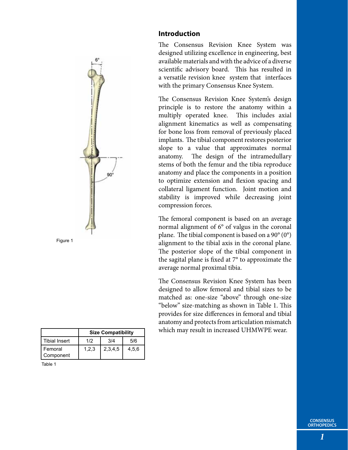

|                      | <b>Size Compatibility</b> |         |       |  |  |
|----------------------|---------------------------|---------|-------|--|--|
| Tibial Insert        | 1/2                       | 3/4     | 5/6   |  |  |
| Femoral<br>Component | 1.2.3                     | 2,3,4,5 | 4.5.6 |  |  |

| - 7 |  |
|-----|--|
|-----|--|

#### **Introduction**

The Consensus Revision Knee System was designed utilizing excellence in engineering, best available materials and with the advice of a diverse scientific advisory board. This has resulted in a versatile revision knee system that interfaces with the primary Consensus Knee System.

The Consensus Revision Knee System's design principle is to restore the anatomy within a multiply operated knee. This includes axial alignment kinematics as well as compensating for bone loss from removal of previously placed implants. The tibial component restores posterior slope to a value that approximates normal anatomy. The design of the intramedullary stems of both the femur and the tibia reproduce anatomy and place the components in a position to optimize extension and flexion spacing and collateral ligament function. Joint motion and stability is improved while decreasing joint compression forces.

The femoral component is based on an average normal alignment of 6° of valgus in the coronal plane. The tibial component is based on a  $90^{\circ}(0^{\circ})$ alignment to the tibial axis in the coronal plane. The posterior slope of the tibial component in the sagital plane is fixed at 7° to approximate the average normal proximal tibia.

The Consensus Revision Knee System has been designed to allow femoral and tibial sizes to be matched as: one-size "above" through one-size "below" size-matching as shown in Table 1. This provides for size differences in femoral and tibial anatomy and protects from articulation mismatch which may result in increased UHMWPE wear.

*1*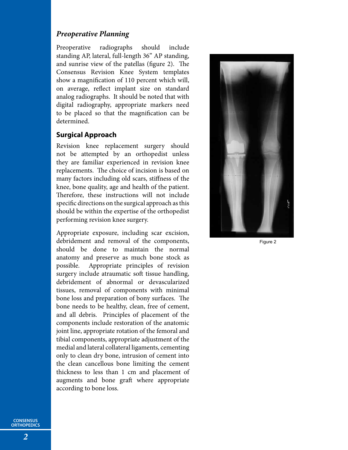#### *Preoperative Planning*

Preoperative radiographs should include standing AP, lateral, full-length 36" AP standing, and sunrise view of the patellas (figure 2). The Consensus Revision Knee System templates show a magnification of 110 percent which will, on average, reflect implant size on standard analog radiographs. It should be noted that with digital radiography, appropriate markers need to be placed so that the magnification can be determined.

#### **Surgical Approach**

Revision knee replacement surgery should not be attempted by an orthopedist unless they are familiar experienced in revision knee replacements. The choice of incision is based on many factors including old scars, stiffness of the knee, bone quality, age and health of the patient. Therefore, these instructions will not include specific directions on the surgical approach as this should be within the expertise of the orthopedist performing revision knee surgery.

Appropriate exposure, including scar excision, debridement and removal of the components, should be done to maintain the normal anatomy and preserve as much bone stock as possible. Appropriate principles of revision surgery include atraumatic soft tissue handling, debridement of abnormal or devascularized tissues, removal of components with minimal bone loss and preparation of bony surfaces. The bone needs to be healthy, clean, free of cement, and all debris. Principles of placement of the components include restoration of the anatomic joint line, appropriate rotation of the femoral and tibial components, appropriate adjustment of the medial and lateral collateral ligaments, cementing only to clean dry bone, intrusion of cement into the clean cancellous bone limiting the cement thickness to less than 1 cm and placement of augments and bone graft where appropriate according to bone loss.



Figure 2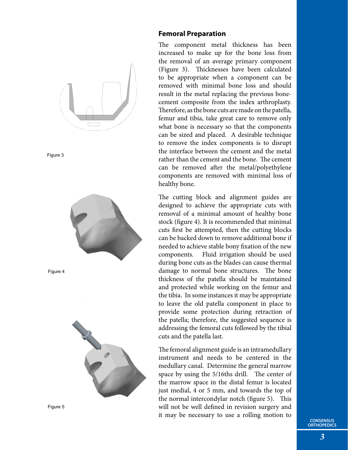



#### **Femoral Preparation**

The component metal thickness has been increased to make up for the bone loss from the removal of an average primary component (Figure 3). Thicknesses have been calculated to be appropriate when a component can be removed with minimal bone loss and should result in the metal replacing the previous bonecement composite from the index arthroplasty. Therefore, as the bone cuts are made on the patella, femur and tibia, take great care to remove only what bone is necessary so that the components can be sized and placed. A desirable technique to remove the index components is to disrupt the interface between the cement and the metal rather than the cement and the bone. The cement can be removed after the metal/polyethylene components are removed with minimal loss of healthy bone.

The cutting block and alignment guides are designed to achieve the appropriate cuts with removal of a minimal amount of healthy bone stock (figure 4). It is recommended that minimal cuts first be attempted, then the cutting blocks can be backed down to remove additional bone if needed to achieve stable bony fixation of the new components. Fluid irrigation should be used during bone cuts as the blades can cause thermal damage to normal bone structures. The bone thickness of the patella should be maintained and protected while working on the femur and the tibia. In some instances it may be appropriate to leave the old patella component in place to provide some protection during retraction of the patella; therefore, the suggested sequence is addressing the femoral cuts followed by the tibial cuts and the patella last.

The femoral alignment guide is an intramedullary instrument and needs to be centered in the medullary canal. Determine the general marrow space by using the 5/16ths drill. The center of the marrow space in the distal femur is located just medial, 4 or 5 mm, and towards the top of the normal intercondylar notch (figure 5). This will not be well defined in revision surgery and it may be necessary to use a rolling motion to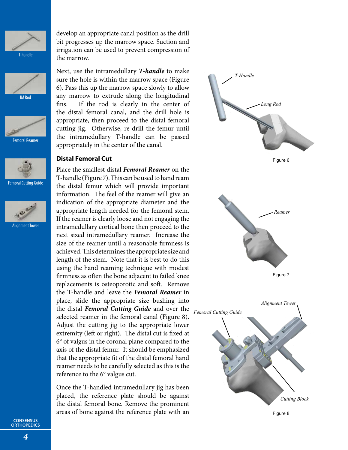







Femoral Cutting Guide



develop an appropriate canal position as the drill bit progresses up the marrow space. Suction and irrigation can be used to prevent compression of the marrow.

Next, use the intramedullary *T-handle* to make sure the hole is within the marrow space (Figure 6). Pass this up the marrow space slowly to allow any marrow to extrude along the longitudinal fins. If the rod is clearly in the center of the distal femoral canal, and the drill hole is appropriate, then proceed to the distal femoral cutting jig. Otherwise, re-drill the femur until the intramedullary T-handle can be passed appropriately in the center of the canal.

#### **Distal Femoral Cut**

Place the smallest distal *Femoral Reamer* on the T-handle (Figure 7). This can be used to hand ream the distal femur which will provide important information. The feel of the reamer will give an indication of the appropriate diameter and the appropriate length needed for the femoral stem. If the reamer is clearly loose and not engaging the intramedullary cortical bone then proceed to the next sized intramedullary reamer. Increase the size of the reamer until a reasonable firmness is achieved. This determines the appropriate size and length of the stem. Note that it is best to do this using the hand reaming technique with modest firmness as often the bone adjacent to failed knee replacements is osteoporotic and soft. Remove the T-handle and leave the *Femoral Reamer* in place, slide the appropriate size bushing into the distal *Femoral Cutting Guide* and over the selected reamer in the femoral canal (Figure 8). Adjust the cutting jig to the appropriate lower extremity (left or right). The distal cut is fixed at 6° of valgus in the coronal plane compared to the axis of the distal femur. It should be emphasized that the appropriate fit of the distal femoral hand reamer needs to be carefully selected as this is the reference to the 6° valgus cut.

Once the T-handled intramedullary jig has been placed, the reference plate should be against the distal femoral bone. Remove the prominent areas of bone against the reference plate with an

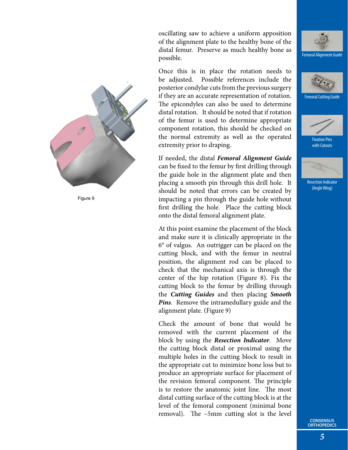oscillating saw to achieve a uniform apposition of the alignment plate to the healthy bone of the distal femur. Preserve as much healthy bone as possible.

Once this is in place the rotation needs to be adjusted. Possible references include the posterior condylar cuts from the previous surgery if they are an accurate representation of rotation. The epicondyles can also be used to determine distal rotation. It should be noted that if rotation of the femur is used to determine appropriate component rotation, this should be checked on the normal extremity as well as the operated extremity prior to draping.

If needed, the distal *Femoral Alignment Guide* can be fixed to the femur by first drilling through the guide hole in the alignment plate and then placing a smooth pin through this drill hole. It should be noted that errors can be created by impacting a pin through the guide hole without first drilling the hole. Place the cutting block onto the distal femoral alignment plate.

At this point examine the placement of the block and make sure it is clinically appropriate in the 6° of valgus. An outrigger can be placed on the cutting block, and with the femur in neutral position, the alignment rod can be placed to check that the mechanical axis is through the center of the hip rotation (Figure 8). Fix the cutting block to the femur by drilling through the *Cutting Guides* and then placing *Smooth Pins*. Remove the intramedullary guide and the alignment plate. (Figure 9)

Check the amount of bone that would be removed with the current placement of the block by using the *Resection Indicator*. Move the cutting block distal or proximal using the multiple holes in the cutting block to result in the appropriate cut to minimize bone loss but to produce an appropriate surface for placement of the revision femoral component. The principle is to restore the anatomic joint line. The most distal cutting surface of the cutting block is at the level of the femoral component (minimal bone removal). The –5mm cutting slot is the level





Femoral Cutting Guide



Fixation Pins with Cutouts



Resection Indicator (Angle Wing)

**CONSENSUS ORTHOPEDICS**

*5*

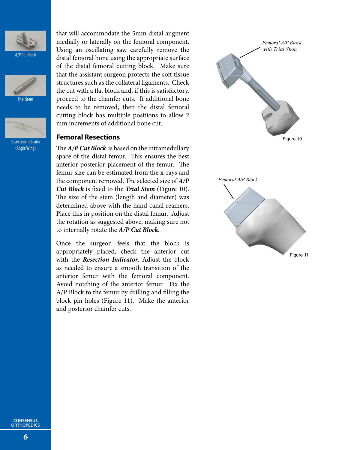

**A/P Cut Block** 



Trial Stem



Resection Indicator (Angle Wing)

that will accommodate the 5mm distal augment medially or laterally on the femoral component. Using an oscillating saw carefully remove the distal femoral bone using the appropriate surface of the distal femoral cutting block. Make sure that the assistant surgeon protects the soft tissue structures such as the collateral ligaments. Check the cut with a flat block and, if this is satisfactory, proceed to the chamfer cuts. If additional bone needs to be removed, then the distal femoral cutting block has multiple positions to allow 2 mm increments of additional bone cut.

#### **Femoral Resections**

The *A/P Cut Block* is based on the intramedullary space of the distal femur. This ensures the best anterior-posterior placement of the femur. The femur size can be estimated from the x-rays and the component removed. The selected size of *A/P Cut Block* is fixed to the *Trial Stem* (Figure 10). The size of the stem (length and diameter) was determined above with the hand canal reamers. Place this in position on the distal femur. Adjust the rotation as suggested above, making sure not to internally rotate the *A/P Cut Block*.

Once the surgeon feels that the block is appropriately placed, check the anterior cut with the *Resection Indicator*. Adjust the block as needed to ensure a smooth transition of the anterior femur with the femoral component. Avoid notching of the anterior femur. Fix the A/P Block to the femur by drilling and filling the block pin holes (Figure 11). Make the anterior and posterior chamfer cuts.

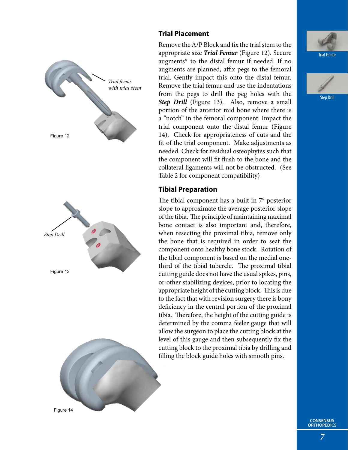

#### **Trial Placement**

Remove the A/P Block and fix the trial stem to the appropriate size *Trial Femur* (Figure 12). Secure augments\* to the distal femur if needed. If no augments are planned, affix pegs to the femoral trial. Gently impact this onto the distal femur. Remove the trial femur and use the indentations from the pegs to drill the peg holes with the *Step Drill* (Figure 13). Also, remove a small portion of the anterior mid bone where there is a "notch" in the femoral component. Impact the trial component onto the distal femur (Figure 14). Check for appropriateness of cuts and the fit of the trial component. Make adjustments as needed. Check for residual osteophytes such that the component will fit flush to the bone and the collateral ligaments will not be obstructed. (See Table 2 for component compatibility)

#### **Tibial Preparation**

The tibial component has a built in 7° posterior slope to approximate the average posterior slope of the tibia. The principle of maintaining maximal bone contact is also important and, therefore, when resecting the proximal tibia, remove only the bone that is required in order to seat the component onto healthy bone stock. Rotation of the tibial component is based on the medial onethird of the tibial tubercle. The proximal tibial cutting guide does not have the usual spikes, pins, or other stabilizing devices, prior to locating the appropriate height of the cutting block. This is due to the fact that with revision surgery there is bony deficiency in the central portion of the proximal tibia. Therefore, the height of the cutting guide is determined by the comma feeler gauge that will allow the surgeon to place the cutting block at the level of this gauge and then subsequently fix the cutting block to the proximal tibia by drilling and filling the block guide holes with smooth pins.



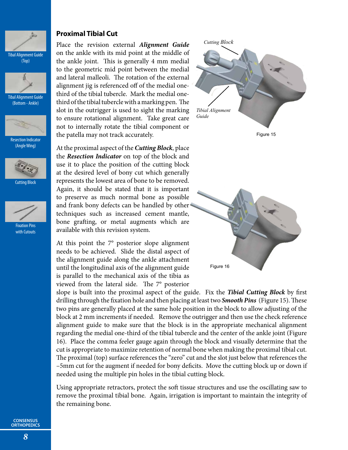

(Top)



Tibal Alignment Guide (Bottom - Ankle)



Resection Indicator (Angle Wing)







Fixation Pins with Cutouts

#### **Proximal Tibial Cut**

Place the revision external *Alignment Guide* on the ankle with its mid point at the middle of the ankle joint. This is generally 4 mm medial to the geometric mid point between the medial and lateral malleoli. The rotation of the external alignment jig is referenced off of the medial onethird of the tibial tubercle. Mark the medial onethird of the tibial tubercle with a marking pen. The slot in the outrigger is used to sight the marking to ensure rotational alignment. Take great care not to internally rotate the tibial component or the patella may not track accurately.

At the proximal aspect of the *Cutting Block*, place the *Resection Indicator* on top of the block and use it to place the position of the cutting block at the desired level of bony cut which generally represents the lowest area of bone to be removed. Again, it should be stated that it is important to preserve as much normal bone as possible and frank bony defects can be handled by other techniques such as increased cement mantle, bone grafting, or metal augments which are available with this revision system.

At this point the 7° posterior slope alignment needs to be achieved. Slide the distal aspect of the alignment guide along the ankle attachment until the longitudinal axis of the alignment guide is parallel to the mechanical axis of the tibia as viewed from the lateral side. The 7° posterior



Figure 15



slope is built into the proximal aspect of the guide. Fix the *Tibial Cutting Block* by first drilling through the fixation hole and then placing at least two *Smooth Pins* (Figure 15). These two pins are generally placed at the same hole position in the block to allow adjusting of the block at 2 mm increments if needed. Remove the outrigger and then use the check reference alignment guide to make sure that the block is in the appropriate mechanical alignment regarding the medial one-third of the tibial tubercle and the center of the ankle joint (Figure 16). Place the comma feeler gauge again through the block and visually determine that the cut is appropriate to maximize retention of normal bone when making the proximal tibial cut. The proximal (top) surface references the "zero" cut and the slot just below that references the –5mm cut for the augment if needed for bony deficits. Move the cutting block up or down if needed using the multiple pin holes in the tibial cutting block.

Using appropriate retractors, protect the soft tissue structures and use the oscillating saw to remove the proximal tibial bone. Again, irrigation is important to maintain the integrity of the remaining bone.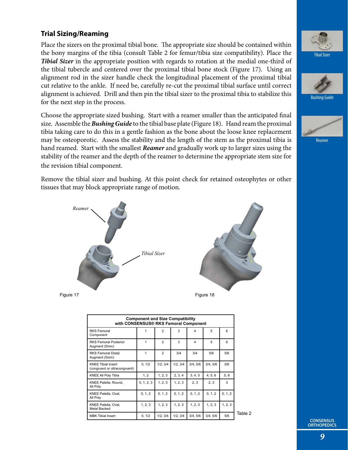#### **Trial Sizing/Reaming**

Place the sizers on the proximal tibial bone. The appropriate size should be contained within the bony margins of the tibia (consult Table 2 for femur/tibia size compatibility). Place the *Tibial Sizer* in the appropriate position with regards to rotation at the medial one-third of the tibial tubercle and centered over the proximal tibial bone stock (Figure 17). Using an alignment rod in the sizer handle check the longitudinal placement of the proximal tibial cut relative to the ankle. If need be, carefully re-cut the proximal tibial surface until correct alignment is achieved. Drill and then pin the tibial sizer to the proximal tibia to stabilize this for the next step in the process.

Choose the appropriate sized bushing. Start with a reamer smaller than the anticipated final size. Assemble the *Bushing Guide* to the tibial base plate (Figure 18). Hand ream the proximal tibia taking care to do this in a gentle fashion as the bone about the loose knee replacement may be osteoporotic. Assess the stability and the length of the stem as the proximal tibia is hand reamed. Start with the smallest *Reamer* and gradually work up to larger sizes using the stability of the reamer and the depth of the reamer to determine the appropriate stem size for the revision tibial component.

Remove the tibial sizer and bushing. At this point check for retained osteophytes or other tissues that may block appropriate range of motion.





| <b>Component and Size Compatibility</b><br>with CONSENSUS® RKS Femoral Component |            |                |         |                         |          |         |
|----------------------------------------------------------------------------------|------------|----------------|---------|-------------------------|----------|---------|
| <b>RKS Femoral</b><br>Component                                                  |            | $\overline{2}$ | 3       | 4                       | 5        | 6       |
| <b>RKS Femoral Posterior</b><br>Augment (5mm)                                    | 1          | $\overline{2}$ | 3       | $\overline{\mathbf{4}}$ | 5        | 6       |
| <b>RKS Femoral Distal</b><br>Augment (5mm)                                       | 1          | $\overline{2}$ | 3/4     | 3/4                     | 5/6      | 5/6     |
| <b>KNEE Tibial Insert</b><br>(congruent or ultracongruent)                       | 0, 1/2     | 1/2, 3/4       | 1/2.3/4 | 3/4, 5/6                | 3/4, 5/6 | 5/6     |
| <b>KNEE All Poly Tibia</b>                                                       | 1, 2       | 1, 2, 3        | 2, 3, 4 | 3, 4, 5                 | 4, 5, 6  | 5, 6    |
| KNEE Patella, Round,<br>All Poly                                                 | 0, 1, 2, 3 | 1, 2, 3        | 1, 2, 3 | 2, 3                    | 2, 3     | 3       |
| KNEE Patella, Oval,<br>All Poly                                                  | 0, 1, 2    | 0, 1, 2        | 0, 1, 2 | 0.1.2                   | 0, 1, 2  | 0, 1, 2 |
| KNEE Patella, Oval,<br>Metal Backed                                              | 1, 2, 3    | 1, 2, 3        | 1, 2, 3 | 1, 2, 3                 | 1, 2, 3  | 1, 2, 3 |
| <b>MBK Tibial Insert</b>                                                         | 0.1/2      | 1/2.3/4        | 1/2.3/4 | 3/4.5/6                 | 3/4, 5/6 | 5/6     |





Bushing Guide



Reamer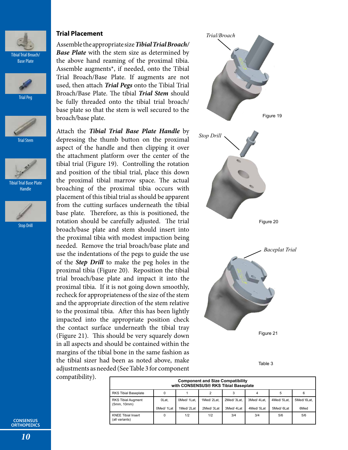





Trial Stem



Tibial Trial Base Plate Handle



Stop Drill

#### **Trial Placement**

Assemble the appropriate size *Tibial Trial Broach/ Base Plate* with the stem size as determined by the above hand reaming of the proximal tibia. Assemble augments\*, if needed, onto the Tibial Trial Broach/Base Plate. If augments are not used, then attach *Trial Pegs* onto the Tibial Trial Broach/Base Plate. The tibial *Trial Stem* should be fully threaded onto the tibial trial broach/ base plate so that the stem is well secured to the broach/base plate.

Attach the *Tibial Trial Base Plate Handle* by depressing the thumb button on the proximal aspect of the handle and then clipping it over the attachment platform over the center of the tibial trial (Figure 19). Controlling the rotation and position of the tibial trial, place this down the proximal tibial marrow space. The actual broaching of the proximal tibia occurs with placement of this tibial trial as should be apparent from the cutting surfaces underneath the tibial base plate. Therefore, as this is positioned, the rotation should be carefully adjusted. The trial broach/base plate and stem should insert into the proximal tibia with modest impaction being needed. Remove the trial broach/base plate and use the indentations of the pegs to guide the use of the *Step Drill* to make the peg holes in the proximal tibia (Figure 20). Reposition the tibial trial broach/base plate and impact it into the proximal tibia. If it is not going down smoothly, recheck for appropriateness of the size of the stem and the appropriate direction of the stem relative to the proximal tibia. After this has been lightly impacted into the appropriate position check the contact surface underneath the tibial tray (Figure 21). This should be very squarely down in all aspects and should be contained within the margins of the tibial bone in the same fashion as the tibial sizer had been as noted above, make adjustments as needed (See Table 3 for component compatibility).



Table 3

| <b>Component and Size Compatibility</b><br>with CONSENSUS® RKS Tibial Baseplate |                    |                         |                         |                         |                         |                         |                    |  |
|---------------------------------------------------------------------------------|--------------------|-------------------------|-------------------------|-------------------------|-------------------------|-------------------------|--------------------|--|
| <b>RKS Tibial Baseplate</b>                                                     |                    |                         | 2                       |                         |                         | 5                       | 6                  |  |
| <b>RKS Tibial Augment</b><br>(5mm, 10mm)                                        | OLat.<br>0Med/1Lat | 0Med/1Lat.<br>1Med/2Lat | 1Med/2Lat.<br>2Med/3Lat | 2Med/3Lat.<br>3Med/4Lat | 3Med/4Lat.<br>4Med/5Lat | 4Med/5Lat,<br>5Med/6Lat | 5Med/6Lat,<br>6Med |  |
| <b>KNEE Tibial Insert</b><br>(all variants)                                     | $\Omega$           | 1/2                     | 1/2                     | 3/4                     | 3/4                     | 5/6                     | 5/6                |  |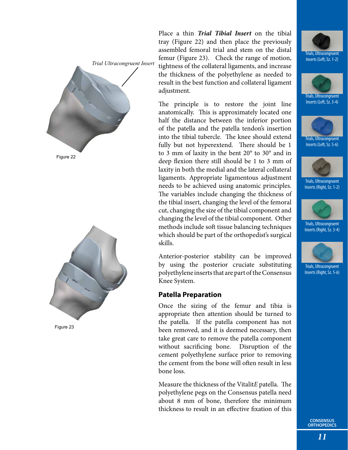



Figure 23

Place a thin *Trial Tibial Insert* on the tibial tray (Figure 22) and then place the previously assembled femoral trial and stem on the distal femur (Figure 23). Check the range of motion, tightness of the collateral ligaments, and increase the thickness of the polyethylene as needed to result in the best function and collateral ligament adjustment.

The principle is to restore the joint line anatomically. This is approximately located one half the distance between the inferior portion of the patella and the patella tendon's insertion into the tibial tubercle. The knee should extend fully but not hyperextend. There should be 1 to 3 mm of laxity in the bent 20° to 30° and in deep flexion there still should be 1 to 3 mm of laxity in both the medial and the lateral collateral ligaments. Appropriate ligamentous adjustment needs to be achieved using anatomic principles. The variables include changing the thickness of the tibial insert, changing the level of the femoral cut, changing the size of the tibial component and changing the level of the tibial component. Other methods include soft tissue balancing techniques which should be part of the orthopedist's surgical skills.

Anterior-posterior stability can be improved by using the posterior cruciate substituting polyethylene inserts that are part of the Consensus Knee System.

#### **Patella Preparation**

Once the sizing of the femur and tibia is appropriate then attention should be turned to the patella. If the patella component has not been removed, and it is deemed necessary, then take great care to remove the patella component without sacrificing bone. Disruption of the cement polyethylene surface prior to removing the cement from the bone will often result in less bone loss.

Measure the thickness of the Vitalit*E* patella. The polyethylene pegs on the Consensus patella need about 8 mm of bone, therefore the minimum thickness to result in an effective fixation of this





Trials, Ultracongruent Inserts (Left, Sz. 5-6)



Trials, Ultracongruent Inserts (Right, Sz. 1-2)



Trials, Ultracongruent Inserts (Right, Sz. 3-4)



Trials, Ultracongruent Inserts (Right, Sz. 5-6)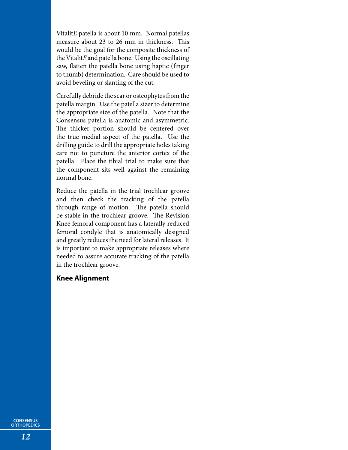Vitalit*E* patella is about 10 mm. Normal patellas measure about 23 to 26 mm in thickness. This would be the goal for the composite thickness of the Vitalit*E* and patella bone. Using the oscillating saw, flatten the patella bone using haptic (finger to thumb) determination. Care should be used to avoid beveling or slanting of the cut.

Carefully debride the scar or osteophytes from the patella margin. Use the patella sizer to determine the appropriate size of the patella. Note that the Consensus patella is anatomic and asymmetric. The thicker portion should be centered over the true medial aspect of the patella. Use the drilling guide to drill the appropriate holes taking care not to puncture the anterior cortex of the patella. Place the tibial trial to make sure that the component sits well against the remaining normal bone.

Reduce the patella in the trial trochlear groove and then check the tracking of the patella through range of motion. The patella should be stable in the trochlear groove. The Revision Knee femoral component has a laterally reduced femoral condyle that is anatomically designed and greatly reduces the need for lateral releases. It is important to make appropriate releases where needed to assure accurate tracking of the patella in the trochlear groove.

#### **Knee Alignment**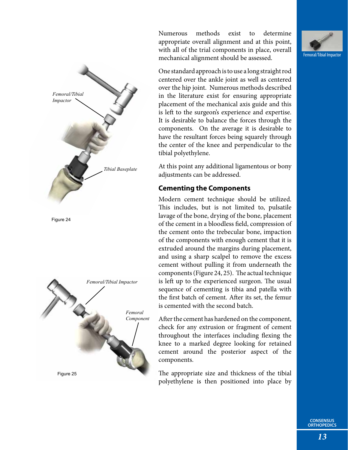

Numerous methods exist to determine appropriate overall alignment and at this point, with all of the trial components in place, overall mechanical alignment should be assessed.



One standard approach is to use a long straight rod centered over the ankle joint as well as centered over the hip joint. Numerous methods described in the literature exist for ensuring appropriate placement of the mechanical axis guide and this is left to the surgeon's experience and expertise. It is desirable to balance the forces through the components. On the average it is desirable to have the resultant forces being squarely through the center of the knee and perpendicular to the tibial polyethylene.

At this point any additional ligamentous or bony adjustments can be addressed.

#### **Cementing the Components**

Modern cement technique should be utilized. This includes, but is not limited to, pulsatile lavage of the bone, drying of the bone, placement of the cement in a bloodless field, compression of the cement onto the trebecular bone, impaction of the components with enough cement that it is extruded around the margins during placement, and using a sharp scalpel to remove the excess cement without pulling it from underneath the components (Figure 24, 25). The actual technique is left up to the experienced surgeon. The usual sequence of cementing is tibia and patella with the first batch of cement. After its set, the femur is cemented with the second batch.

After the cement has hardened on the component, check for any extrusion or fragment of cement throughout the interfaces including flexing the knee to a marked degree looking for retained cement around the posterior aspect of the components.

The appropriate size and thickness of the tibial polyethylene is then positioned into place by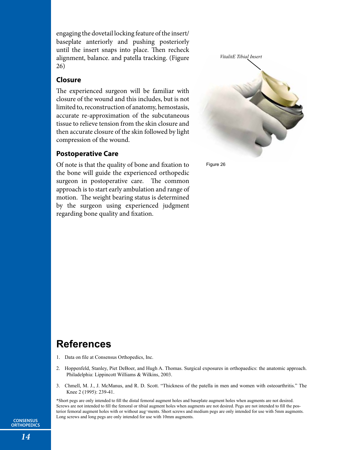engaging the dovetail locking feature of the insert/ baseplate anteriorly and pushing posteriorly until the insert snaps into place. Then recheck alignment, balance. and patella tracking. (Figure 26)

#### **Closure**

The experienced surgeon will be familiar with closure of the wound and this includes, but is not limited to, reconstruction of anatomy, hemostasis, accurate re-approximation of the subcutaneous tissue to relieve tension from the skin closure and then accurate closure of the skin followed by light compression of the wound.

#### **Postoperative Care**

Of note is that the quality of bone and fixation to the bone will guide the experienced orthopedic surgeon in postoperative care. The common approach is to start early ambulation and range of motion. The weight bearing status is determined by the surgeon using experienced judgment regarding bone quality and fixation.



Figure 26

### **References**

- 1. Data on file at Consensus Orthopedics, Inc.
- 2. Hoppenfeld, Stanley, Piet DeBoer, and Hugh A. Thomas. Surgical exposures in orthopaedics: the anatomic approach. Philadelphia: Lippincott Williams & Wilkins, 2003.
- 3. Chmell, M. J., J. McManus, and R. D. Scott. "Thickness of the patella in men and women with osteoarthritis." The Knee 2 (1995): 239-41.

\*Short pegs are only intended to fill the distal femoral augment holes and baseplate augment holes when augments are not desired. Screws are not intended to fill the femoral or tibial augment holes when augments are not desired. Pegs are not intended to fill the posterior femoral augment holes with or without aug-ments. Short screws and medium pegs are only intended for use with 5mm augments. Long screws and long pegs are only intended for use with 10mm augments.